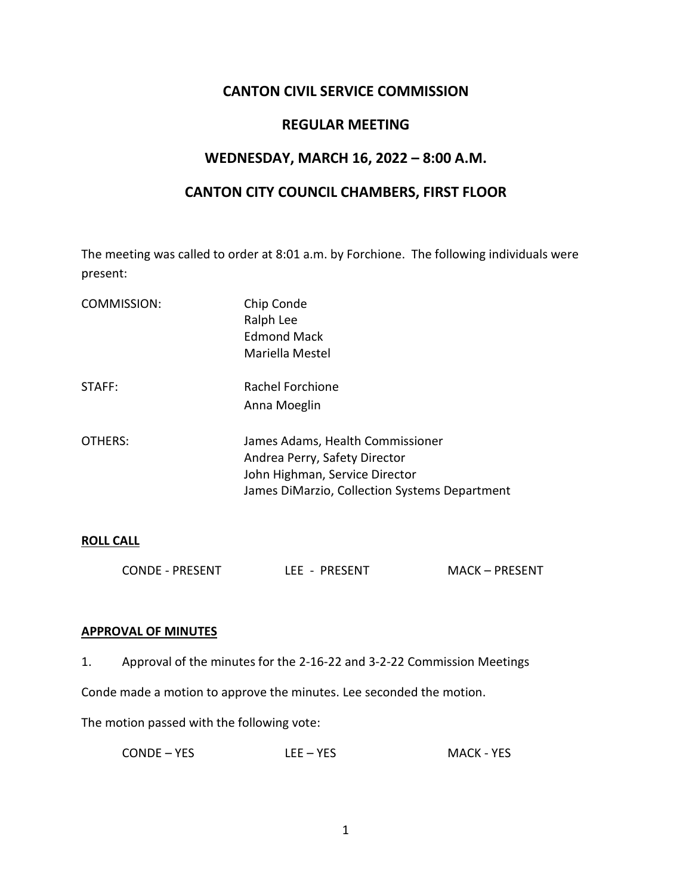# **CANTON CIVIL SERVICE COMMISSION**

# **REGULAR MEETING**

# **WEDNESDAY, MARCH 16, 2022 – 8:00 A.M.**

# **CANTON CITY COUNCIL CHAMBERS, FIRST FLOOR**

The meeting was called to order at 8:01 a.m. by Forchione. The following individuals were present:

| COMMISSION: | Chip Conde<br>Ralph Lee<br><b>Edmond Mack</b><br>Mariella Mestel                                                                                     |
|-------------|------------------------------------------------------------------------------------------------------------------------------------------------------|
| STAFF:      | Rachel Forchione<br>Anna Moeglin                                                                                                                     |
| OTHERS:     | James Adams, Health Commissioner<br>Andrea Perry, Safety Director<br>John Highman, Service Director<br>James DiMarzio, Collection Systems Department |

#### **ROLL CALL**

| <b>MACK - PRESENT</b><br><b>CONDE - PRESENT</b><br>LEE - PRESENT |
|------------------------------------------------------------------|
|------------------------------------------------------------------|

#### **APPROVAL OF MINUTES**

1. Approval of the minutes for the 2-16-22 and 3-2-22 Commission Meetings

Conde made a motion to approve the minutes. Lee seconded the motion.

The motion passed with the following vote:

| CONDE – YES | $LEE - YES$ | <b>MACK - YES</b> |
|-------------|-------------|-------------------|
|-------------|-------------|-------------------|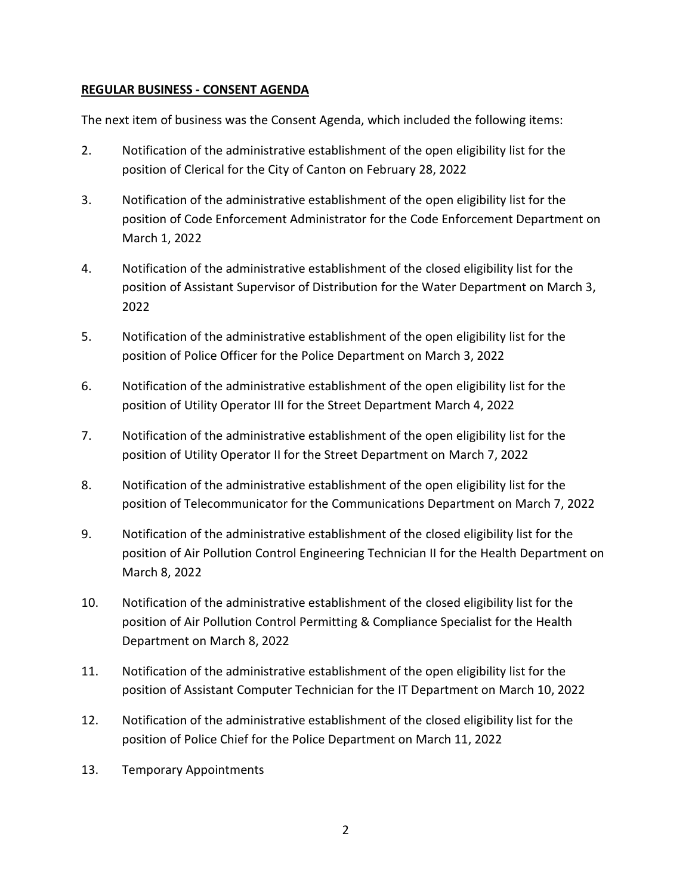# **REGULAR BUSINESS - CONSENT AGENDA**

The next item of business was the Consent Agenda, which included the following items:

- 2. Notification of the administrative establishment of the open eligibility list for the position of Clerical for the City of Canton on February 28, 2022
- 3. Notification of the administrative establishment of the open eligibility list for the position of Code Enforcement Administrator for the Code Enforcement Department on March 1, 2022
- 4. Notification of the administrative establishment of the closed eligibility list for the position of Assistant Supervisor of Distribution for the Water Department on March 3, 2022
- 5. Notification of the administrative establishment of the open eligibility list for the position of Police Officer for the Police Department on March 3, 2022
- 6. Notification of the administrative establishment of the open eligibility list for the position of Utility Operator III for the Street Department March 4, 2022
- 7. Notification of the administrative establishment of the open eligibility list for the position of Utility Operator II for the Street Department on March 7, 2022
- 8. Notification of the administrative establishment of the open eligibility list for the position of Telecommunicator for the Communications Department on March 7, 2022
- 9. Notification of the administrative establishment of the closed eligibility list for the position of Air Pollution Control Engineering Technician II for the Health Department on March 8, 2022
- 10. Notification of the administrative establishment of the closed eligibility list for the position of Air Pollution Control Permitting & Compliance Specialist for the Health Department on March 8, 2022
- 11. Notification of the administrative establishment of the open eligibility list for the position of Assistant Computer Technician for the IT Department on March 10, 2022
- 12. Notification of the administrative establishment of the closed eligibility list for the position of Police Chief for the Police Department on March 11, 2022
- 13. Temporary Appointments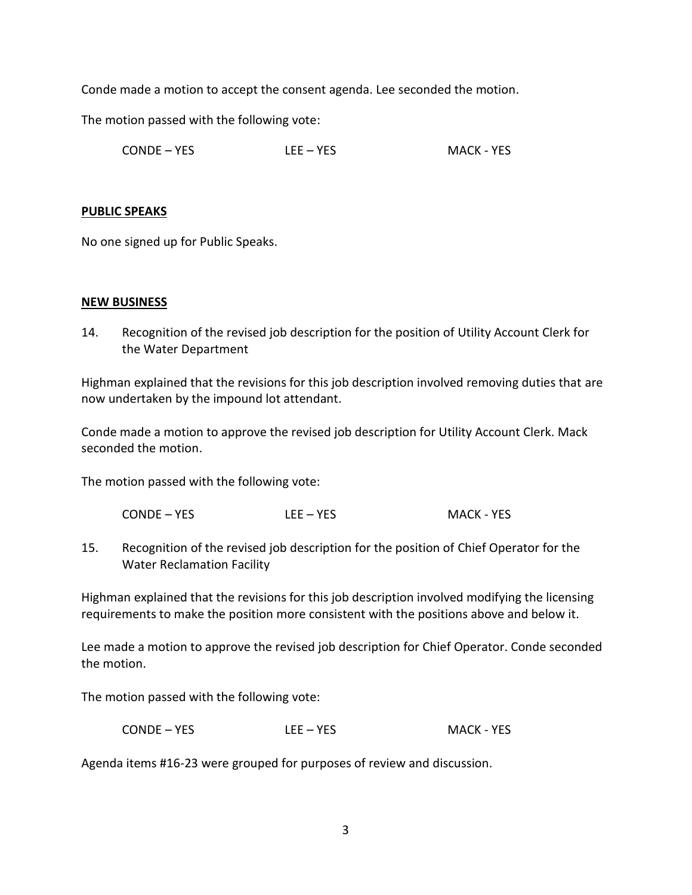Conde made a motion to accept the consent agenda. Lee seconded the motion.

The motion passed with the following vote:

CONDE – YES LEE – YES MACK - YES

## **PUBLIC SPEAKS**

No one signed up for Public Speaks.

## **NEW BUSINESS**

14. Recognition of the revised job description for the position of Utility Account Clerk for the Water Department

Highman explained that the revisions for this job description involved removing duties that are now undertaken by the impound lot attendant.

Conde made a motion to approve the revised job description for Utility Account Clerk. Mack seconded the motion.

The motion passed with the following vote:

CONDE – YES LEE – YES MACK - YES

15. Recognition of the revised job description for the position of Chief Operator for the Water Reclamation Facility

Highman explained that the revisions for this job description involved modifying the licensing requirements to make the position more consistent with the positions above and below it.

Lee made a motion to approve the revised job description for Chief Operator. Conde seconded the motion.

The motion passed with the following vote:

CONDE – YES LEE – YES MACK - YES

Agenda items #16-23 were grouped for purposes of review and discussion.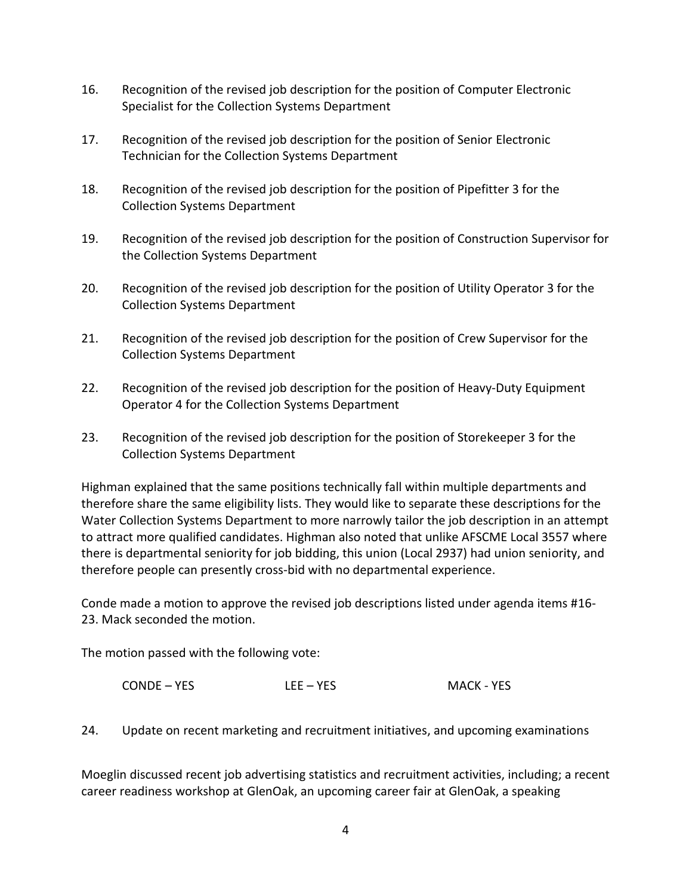- 16. Recognition of the revised job description for the position of Computer Electronic Specialist for the Collection Systems Department
- 17. Recognition of the revised job description for the position of Senior Electronic Technician for the Collection Systems Department
- 18. Recognition of the revised job description for the position of Pipefitter 3 for the Collection Systems Department
- 19. Recognition of the revised job description for the position of Construction Supervisor for the Collection Systems Department
- 20. Recognition of the revised job description for the position of Utility Operator 3 for the Collection Systems Department
- 21. Recognition of the revised job description for the position of Crew Supervisor for the Collection Systems Department
- 22. Recognition of the revised job description for the position of Heavy-Duty Equipment Operator 4 for the Collection Systems Department
- 23. Recognition of the revised job description for the position of Storekeeper 3 for the Collection Systems Department

Highman explained that the same positions technically fall within multiple departments and therefore share the same eligibility lists. They would like to separate these descriptions for the Water Collection Systems Department to more narrowly tailor the job description in an attempt to attract more qualified candidates. Highman also noted that unlike AFSCME Local 3557 where there is departmental seniority for job bidding, this union (Local 2937) had union seniority, and therefore people can presently cross-bid with no departmental experience.

Conde made a motion to approve the revised job descriptions listed under agenda items #16- 23. Mack seconded the motion.

The motion passed with the following vote:

CONDE – YES LEE – YES MACK - YES

24. Update on recent marketing and recruitment initiatives, and upcoming examinations

Moeglin discussed recent job advertising statistics and recruitment activities, including; a recent career readiness workshop at GlenOak, an upcoming career fair at GlenOak, a speaking